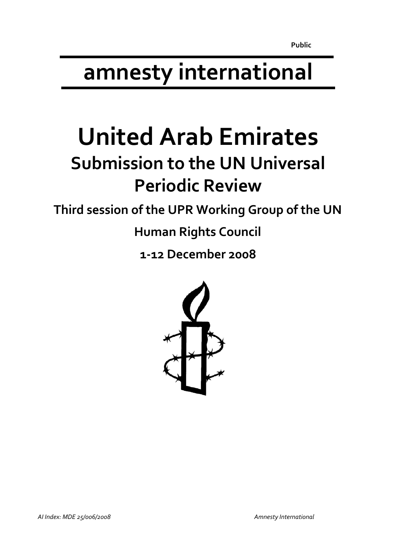# **amnesty international**

# **United Arab Emirates Submission to the UN Universal Periodic Review**

**Third session of the UPR Working Group of the UN**

**Human Rights Council**

**1‐12 December 2008**

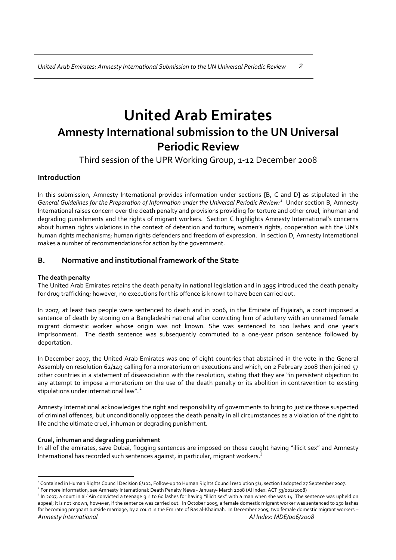# **United Arab Emirates Amnesty International submission to the UN Universal Periodic Review**

Third session of the UPR Working Group, 1‐12 December 2008

## **Introduction**

In this submission, Amnesty International provides information under sections [B, C and D] as stipulated in the *General Guidelines for the Preparation of Information under the Universal Periodic Review:*[1](#page-1-0) Under section B, Amnesty International raises concern over the death penalty and provisions providing for torture and other cruel, inhuman and degrading punishments and the rights of migrant workers. Section C highlights Amnesty International's concerns about human rights violations in the context of detention and torture; women's rights, cooperation with the UN's human rights mechanisms; human rights defenders and freedom of expression. In section D, Amnesty International makes a number of recommendations for action by the government.

### **B. Normative and institutional framework of the State**

### **The death penalty**

The United Arab Emirates retains the death penalty in national legislation and in 1995 introduced the death penalty for drug trafficking; however, no executions for this offence is known to have been carried out.

In 2007, at least two people were sentenced to death and in 2006, in the Emirate of Fujairah, a court imposed a sentence of death by stoning on a Bangladeshi national after convicting him of adultery with an unnamed female migrant domestic worker whose origin was not known. She was sentenced to 100 lashes and one year's imprisonment. The death sentence was subsequently commuted to a one-year prison sentence followed by deportation.

In December 2007, the United Arab Emirates was one of eight countries that abstained in the vote in the General Assembly on resolution 62/149 calling for a moratorium on executions and which, on 2 February 2008 then joined 57 other countries in a statement of disassociation with the resolution, stating that they are "in persistent objection to any attempt to impose a moratorium on the use of the death penalty or its abolition in contravention to existing stipulations under international law".<sup>[2](#page-1-1)</sup>

Amnesty International acknowledges the right and responsibility of governments to bring to justice those suspected of criminal offences, but unconditionally opposes the death penalty in all circumstances as a violation of the right to life and the ultimate cruel, inhuman or degrading punishment.

#### **Cruel, inhuman and degrading punishment**

In all of the emirates, save Dubai, flogging sentences are imposed on those caught having "illicit sex" and Amnesty International has recorded such sentences against, in particular, migrant workers.<sup>[3](#page-1-2)</sup>

 $\overline{a}$ <sup>1</sup> Contained in Human Rights Council Decision 6/102, Follow-up to Human Rights Council resolution 5/1, section I adopted 27 September 2007.

<span id="page-1-1"></span><span id="page-1-0"></span><sup>2</sup> For more information, see Amnesty International: Death Penalty News ‐ January‐ March 2008 (AI Index: ACT 53/002/2008)

<span id="page-1-2"></span>*Amnesty International AI Index: MDE/006/2008* <sup>3</sup> In 2007, a court in al-'Ain convicted a teenage girl to 60 lashes for having "illicit sex" with a man when she was 14. The sentence was upheld on appeal; it is not known, however, if the sentence was carried out. In October 2005, a female domestic migrant worker was sentenced to 150 lashes for becoming pregnant outside marriage, by a court in the Emirate of Ras al-Khaimah. In December 2005, two female domestic migrant workers –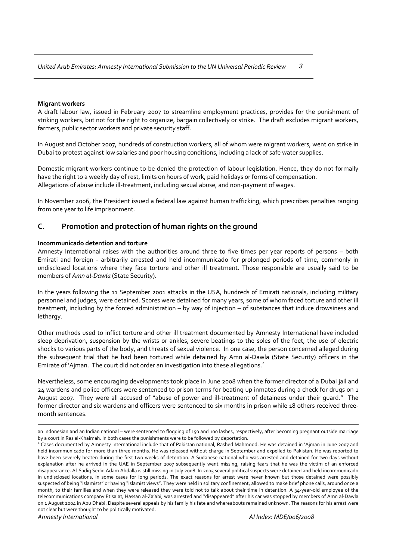#### **Migrant workers**

A draft labour law, issued in February 2007 to streamline employment practices, provides for the punishment of striking workers, but not for the right to organize, bargain collectively or strike. The draft excludes migrant workers, farmers, public sector workers and private security staff.

In August and October 2007, hundreds of construction workers, all of whom were migrant workers, went on strike in Dubai to protest against low salaries and poor housing conditions, including a lack of safe water supplies.

Domestic migrant workers continue to be denied the protection of labour legislation. Hence, they do not formally have the right to a weekly day of rest, limits on hours of work, paid holidays or forms of compensation. Allegations of abuse include ill‐treatment, including sexual abuse, and non‐payment of wages.

In November 2006, the President issued a federal law against human trafficking, which prescribes penalties ranging from one year to life imprisonment.

#### **C. Promotion and protection of human rights on the ground**

#### **Incommunicado detention and torture**

Amnesty International raises with the authorities around three to five times per year reports of persons – both Emirati and foreign - arbitrarily arrested and held incommunicado for prolonged periods of time, commonly in undisclosed locations where they face torture and other ill treatment. Those responsible are usually said to be members of *Amn al‐Dawla* (State Security).

In the years following the 11 September 2001 attacks in the USA, hundreds of Emirati nationals, including military personnel and judges, were detained. Scores were detained for many years, some of whom faced torture and other ill treatment, including by the forced administration – by way of injection – of substances that induce drowsiness and lethargy.

Other methods used to inflict torture and other ill treatment documented by Amnesty International have included sleep deprivation, suspension by the wrists or ankles, severe beatings to the soles of the feet, the use of electric shocks to various parts of the body, and threats of sexual violence. In one case, the person concerned alleged during the subsequent trial that he had been tortured while detained by Amn al‐Dawla (State Security) officers in the Emirate of 'Ajman. The court did not order an investigation into these allegations.<sup>[4](#page-2-0)</sup>

Nevertheless, some encouraging developments took place in June 2008 when the former director of a Dubai jail and 24 wardens and police officers were sentenced to prison terms for beating up inmates during a check for drugs on 1 August 2007. They were all accused of "abuse of power and ill-treatment of detainees under their guard." The former director and six wardens and officers were sentenced to six months in prison while 18 others received three‐ month sentences.

 $\overline{a}$ 

an Indonesian and an Indian national – were sentenced to flogging of 150 and 100 lashes, respectively, after becoming pregnant outside marriage by a court in Ras al‐Khaimah. In both cases the punishments were to be followed by deportation.

<span id="page-2-0"></span><sup>4</sup> Cases documented by Amnesty International include that of Pakistan national, Rashed Mahmood. He was detained in 'Ajman in June 2007 and held incommunicado for more than three months. He was released without charge in September and expelled to Pakistan. He was reported to have been severely beaten during the first two weeks of detention. A Sudanese national who was arrested and detained for two days without explanation after he arrived in the UAE in September 2007 subsequently went missing, raising fears that he was the victim of an enforced disappearance. Al‐Sadiq Sediq Adam Abdalla is still missing in July 2008. In 2005 several political suspects were detained and held incommunicado in undisclosed locations, in some cases for long periods. The exact reasons for arrest were never known but those detained were possibly suspected of being "Islamists" or having "Islamist views". They were held in solitary confinement, allowed to make brief phone calls, around once a month, to their families and when they were released they were told not to talk about their time in detention. A 34-year-old employee of the telecommunications company Etisalat, Hassan al‐Za'abi, was arrested and "disappeared" after his car was stopped by members of Amn al‐Dawla on 1 August 2004 in Abu Dhabi. Despite several appeals by his family his fate and whereabouts remained unknown. The reasons for his arrest were not clear but were thought to be politically motivated.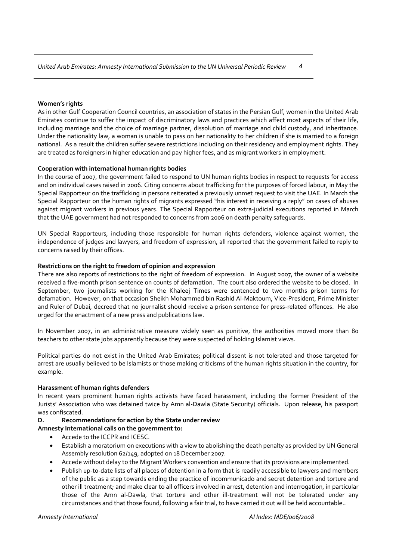#### **Women's rights**

As in other Gulf Cooperation Council countries, an association of states in the Persian Gulf, women in the United Arab Emirates continue to suffer the impact of discriminatory laws and practices which affect most aspects of their life, including marriage and the choice of marriage partner, dissolution of marriage and child custody, and inheritance. Under the nationality law, a woman is unable to pass on her nationality to her children if she is married to a foreign national. As a result the children suffer severe restrictions including on their residency and employment rights. They are treated as foreigners in higher education and pay higher fees, and as migrant workers in employment.

#### **Cooperation with international human rights bodies**

In the course of 2007, the government failed to respond to UN human rights bodies in respect to requests for access and on individual cases raised in 2006. Citing concerns about trafficking for the purposes of forced labour, in May the Special Rapporteur on the trafficking in persons reiterated a previously unmet request to visit the UAE. In March the Special Rapporteur on the human rights of migrants expressed "his interest in receiving a reply" on cases of abuses against migrant workers in previous years. The Special Rapporteur on extra‐judicial executions reported in March that the UAE government had not responded to concerns from 2006 on death penalty safeguards.

UN Special Rapporteurs, including those responsible for human rights defenders, violence against women, the independence of judges and lawyers, and freedom of expression, all reported that the government failed to reply to concerns raised by their offices.

#### **Restrictions on the right to freedom of opinion and expression**

There are also reports of restrictions to the right of freedom of expression. In August 2007, the owner of a website received a five‐month prison sentence on counts of defamation. The court also ordered the website to be closed. In September, two journalists working for the Khaleej Times were sentenced to two months prison terms for defamation. However, on that occasion Sheikh Mohammed bin Rashid Al‐Maktoum, Vice‐President, Prime Minister and Ruler of Dubai, decreed that no journalist should receive a prison sentence for press-related offences. He also urged for the enactment of a new press and publications law.

In November 2007, in an administrative measure widely seen as punitive, the authorities moved more than 80 teachers to other state jobs apparently because they were suspected of holding Islamist views.

Political parties do not exist in the United Arab Emirates; political dissent is not tolerated and those targeted for arrest are usually believed to be Islamists or those making criticisms of the human rights situation in the country, for example.

#### **Harassment of human rights defenders**

In recent years prominent human rights activists have faced harassment, including the former President of the Jurists' Association who was detained twice by Amn al‐Dawla (State Security) officials. Upon release, his passport was confiscated.

#### **D. Recommendations for action by the State under review**

#### **Amnesty International calls on the government to:**

- Accede to the ICCPR and ICESC.
- Establish a moratorium on executions with a view to abolishing the death penalty as provided by UN General Assembly resolution 62/149, adopted on 18 December 2007.
- Accede without delay to the Migrant Workers convention and ensure that its provisions are implemented.
- Publish up‐to‐date lists of all places of detention in a form that is readily accessible to lawyers and members of the public as a step towards ending the practice of incommunicado and secret detention and torture and other ill treatment; and make clear to all officers involved in arrest, detention and interrogation, in particular those of the Amn al-Dawla, that torture and other ill-treatment will not be tolerated under any circumstances and that those found, following a fair trial, to have carried it out will be held accountable..